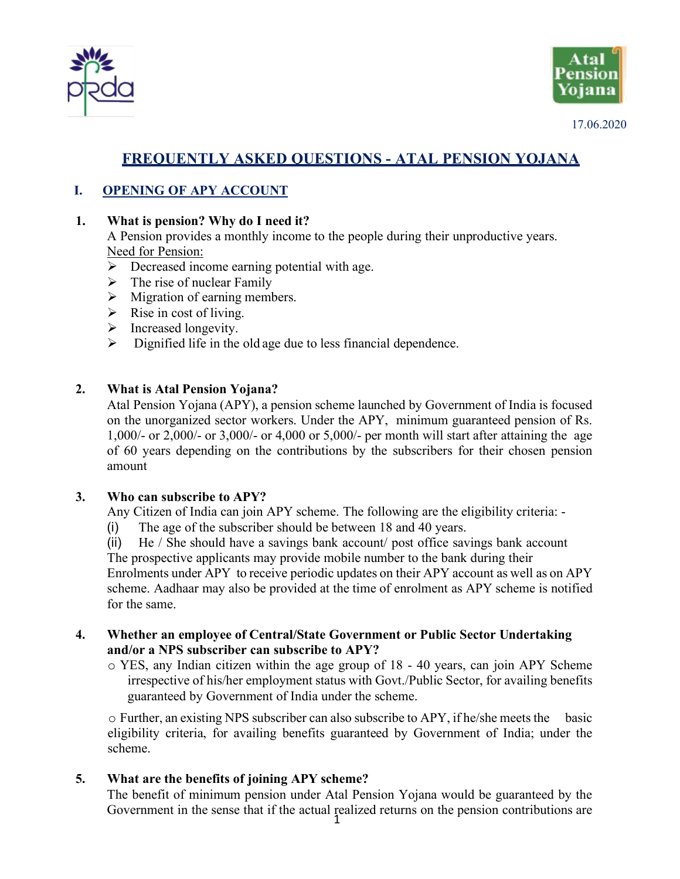



17.06.2020

# **FREQUENTLY ASKED QUESTIONS - ATAL PENSION YOJANA**

## **I. OPENING OF APY ACCOUNT**

#### **1. What is pension? Why do I need it?**

A Pension provides a monthly income to the people during their unproductive years. Need for Pension:

- $\triangleright$  Decreased income earning potential with age.
- $\triangleright$  The rise of nuclear Family
- $\triangleright$  Migration of earning members.
- $\triangleright$  Rise in cost of living.
- $\triangleright$  Increased longevity.
- $\triangleright$  Dignified life in the old age due to less financial dependence.

#### **2. What is Atal Pension Yojana?**

Atal Pension Yojana (APY), a pension scheme launched by Government of India is focused on the unorganized sector workers. Under the APY, minimum guaranteed pension of Rs. 1,000/- or 2,000/- or 3,000/- or 4,000 or 5,000/- per month will start after attaining the age of 60 years depending on the contributions by the subscribers for their chosen pension amount

#### **3. Who can subscribe to APY?**

Any Citizen of India can join APY scheme. The following are the eligibility criteria: -

- (i) The age of the subscriber should be between 18 and 40 years.
- (ii) He / She should have a savings bank account/ post office savings bank account

The prospective applicants may provide mobile number to the bank during their Enrolments under APY to receive periodic updates on their APY account as well as on APY scheme. Aadhaar may also be provided at the time of enrolment as APY scheme is notified for the same.

- **4. Whether an employee of Central/State Government or Public Sector Undertaking and/or a NPS subscriber can subscribe to APY?**
	- o YES, any Indian citizen within the age group of 18 40 years, can join APY Scheme irrespective of his/her employment status with Govt./Public Sector, for availing benefits guaranteed by Government of India under the scheme.

o Further, an existing NPS subscriber can also subscribe to APY, if he/she meetsthe basic eligibility criteria, for availing benefits guaranteed by Government of India; under the scheme.

**5. What are the benefits of joining APY scheme?**

The benefit of minimum pension under Atal Pension Yojana would be guaranteed by the Government in the sense that if the actual realized returns on the pension contributions are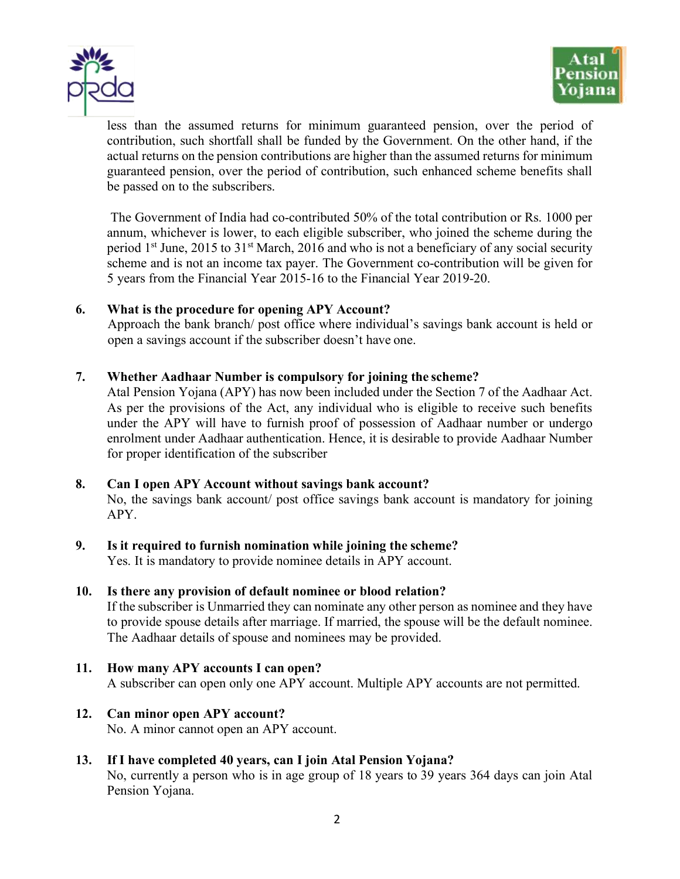



less than the assumed returns for minimum guaranteed pension, over the period of contribution, such shortfall shall be funded by the Government. On the other hand, if the actual returns on the pension contributions are higher than the assumed returns for minimum guaranteed pension, over the period of contribution, such enhanced scheme benefits shall be passed on to the subscribers.

The Government of India had co-contributed 50% of the total contribution or Rs. 1000 per annum, whichever is lower, to each eligible subscriber, who joined the scheme during the period 1st June, 2015 to 31st March, 2016 and who is not a beneficiary of any social security scheme and is not an income tax payer. The Government co-contribution will be given for 5 years from the Financial Year 2015-16 to the Financial Year 2019-20.

#### **6. What is the procedure for opening APY Account?**

Approach the bank branch/ post office where individual's savings bank account is held or open a savings account if the subscriber doesn't have one.

#### **7. Whether Aadhaar Number is compulsory for joining the scheme?**

Atal Pension Yojana (APY) has now been included under the Section 7 of the Aadhaar Act. As per the provisions of the Act, any individual who is eligible to receive such benefits under the APY will have to furnish proof of possession of Aadhaar number or undergo enrolment under Aadhaar authentication. Hence, it is desirable to provide Aadhaar Number for proper identification of the subscriber

## **8. Can I open APY Account without savings bank account?**

No, the savings bank account/ post office savings bank account is mandatory for joining APY.

## **9. Is it required to furnish nomination while joining the scheme?**

Yes. It is mandatory to provide nominee details in APY account.

#### **10. Is there any provision of default nominee or blood relation?**

If the subscriber is Unmarried they can nominate any other person as nominee and they have to provide spouse details after marriage. If married, the spouse will be the default nominee. The Aadhaar details of spouse and nominees may be provided.

**11. How many APY accounts I can open?** A subscriber can open only one APY account. Multiple APY accounts are not permitted.

#### **12. Can minor open APY account?** No. A minor cannot open an APY account.

## **13. If I have completed 40 years, can I join Atal Pension Yojana?**

No, currently a person who is in age group of 18 years to 39 years 364 days can join Atal Pension Yojana.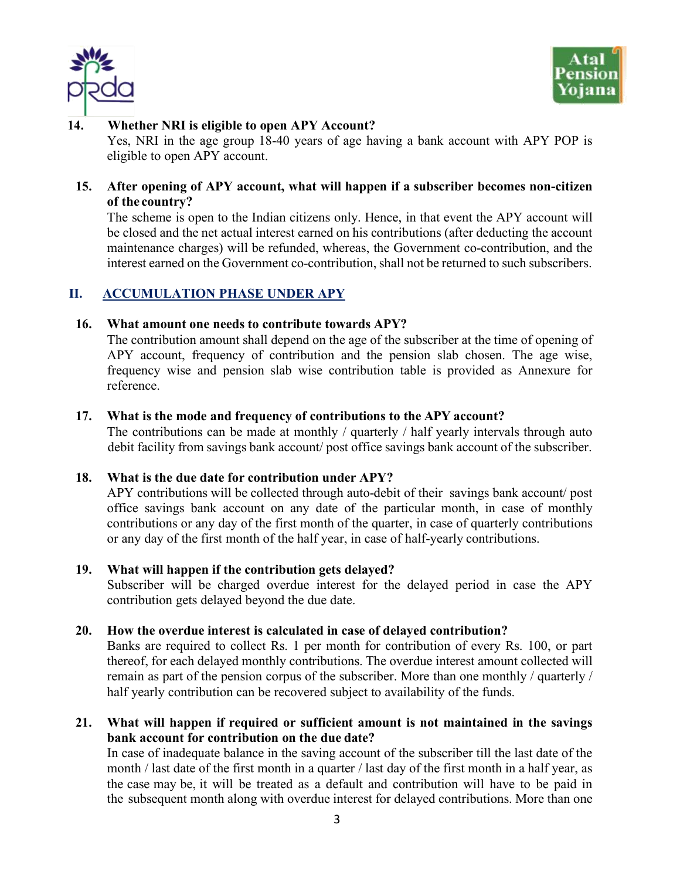



#### **14. Whether NRI is eligible to open APY Account?**

Yes, NRI in the age group 18-40 years of age having a bank account with APY POP is eligible to open APY account.

## **15. After opening of APY account, what will happen if a subscriber becomes non-citizen of the country?**

The scheme is open to the Indian citizens only. Hence, in that event the APY account will be closed and the net actual interest earned on his contributions (after deducting the account maintenance charges) will be refunded, whereas, the Government co-contribution, and the interest earned on the Government co-contribution, shall not be returned to such subscribers.

## **II. ACCUMULATION PHASE UNDER APY**

#### **16. What amount one needs to contribute towards APY?**

The contribution amount shall depend on the age of the subscriber at the time of opening of APY account, frequency of contribution and the pension slab chosen. The age wise, frequency wise and pension slab wise contribution table is provided as Annexure for reference.

#### **17. What is the mode and frequency of contributions to the APY account?**

The contributions can be made at monthly / quarterly / half yearly intervals through auto debit facility from savings bank account/ post office savings bank account of the subscriber.

## **18. What is the due date for contribution under APY?**

APY contributions will be collected through auto-debit of their savings bank account/ post office savings bank account on any date of the particular month, in case of monthly contributions or any day of the first month of the quarter, in case of quarterly contributions or any day of the first month of the half year, in case of half-yearly contributions.

#### **19. What will happen if the contribution gets delayed?**

Subscriber will be charged overdue interest for the delayed period in case the APY contribution gets delayed beyond the due date.

## **20. How the overdue interest is calculated in case of delayed contribution?**

Banks are required to collect Rs. 1 per month for contribution of every Rs. 100, or part thereof, for each delayed monthly contributions. The overdue interest amount collected will remain as part of the pension corpus of the subscriber. More than one monthly / quarterly / half yearly contribution can be recovered subject to availability of the funds.

## **21. What will happen if required or sufficient amount is not maintained in the savings bank account for contribution on the due date?**

In case of inadequate balance in the saving account of the subscriber till the last date of the month / last date of the first month in a quarter / last day of the first month in a half year, as the case may be, it will be treated as a default and contribution will have to be paid in the subsequent month along with overdue interest for delayed contributions. More than one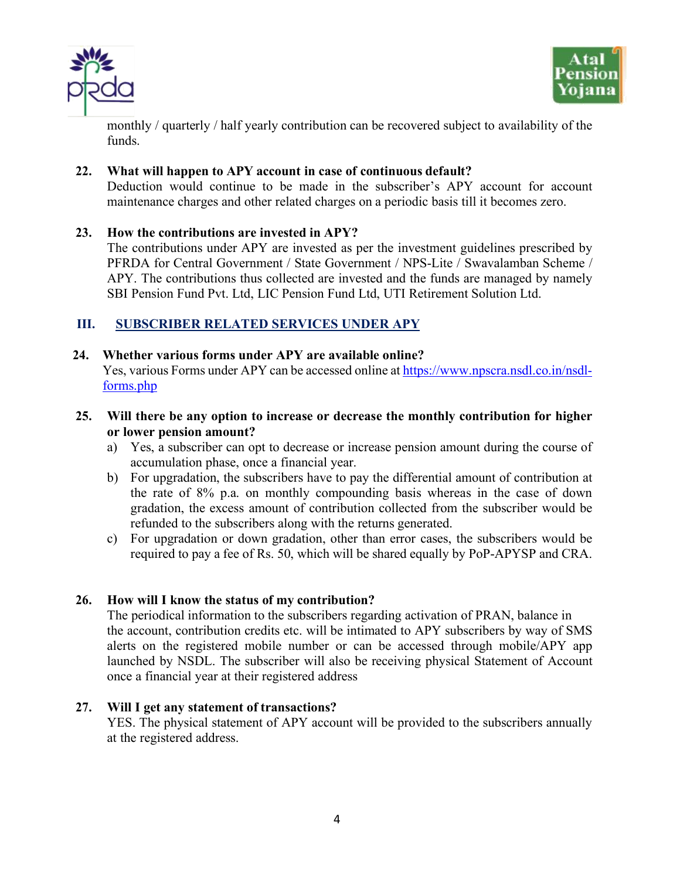



monthly / quarterly / half yearly contribution can be recovered subject to availability of the funds.

## **22. What will happen to APY account in case of continuous default?**

Deduction would continue to be made in the subscriber's APY account for account maintenance charges and other related charges on a periodic basis till it becomes zero.

## **23. How the contributions are invested in APY?**

The contributions under APY are invested as per the investment guidelines prescribed by PFRDA for Central Government / State Government / NPS-Lite / Swavalamban Scheme / APY. The contributions thus collected are invested and the funds are managed by namely SBI Pension Fund Pvt. Ltd, LIC Pension Fund Ltd, UTI Retirement Solution Ltd.

## **III. SUBSCRIBER RELATED SERVICES UNDER APY**

## **24. Whether various forms under APY are available online?**

Yes, various Forms under APY can be accessed online at https://www.npscra.nsdl.co.in/nsdlforms.php

## **25. Will there be any option to increase or decrease the monthly contribution for higher or lower pension amount?**

- a) Yes, a subscriber can opt to decrease or increase pension amount during the course of accumulation phase, once a financial year.
- b) For upgradation, the subscribers have to pay the differential amount of contribution at the rate of 8% p.a. on monthly compounding basis whereas in the case of down gradation, the excess amount of contribution collected from the subscriber would be refunded to the subscribers along with the returns generated.
- c) For upgradation or down gradation, other than error cases, the subscribers would be required to pay a fee of Rs. 50, which will be shared equally by PoP-APYSP and CRA.

## **26. How will I know the status of my contribution?**

The periodical information to the subscribers regarding activation of PRAN, balance in the account, contribution credits etc. will be intimated to APY subscribers by way of SMS alerts on the registered mobile number or can be accessed through mobile/APY app launched by NSDL. The subscriber will also be receiving physical Statement of Account once a financial year at their registered address

## **27. Will I get any statement of transactions?**

YES. The physical statement of APY account will be provided to the subscribers annually at the registered address.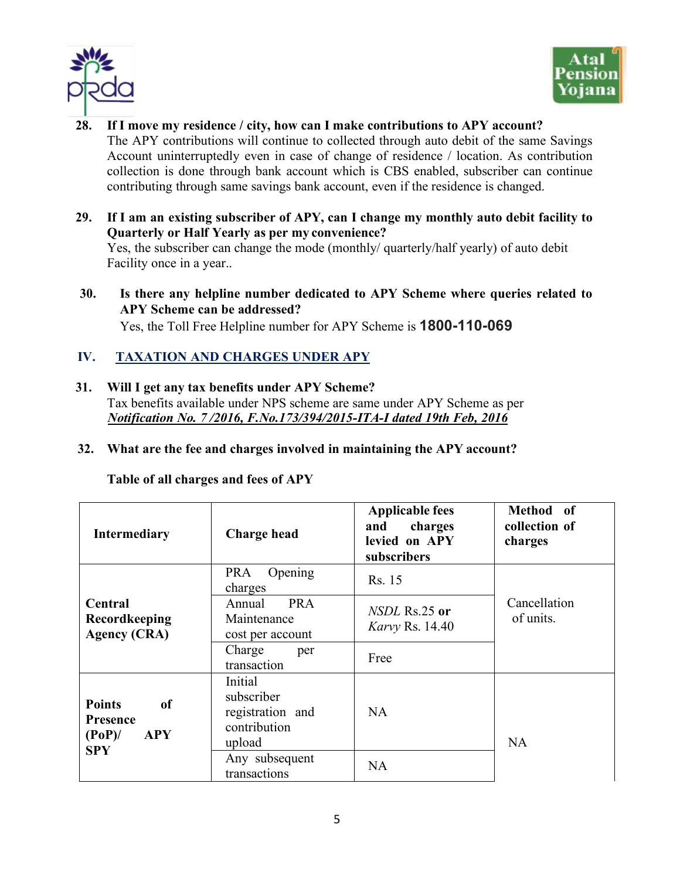



- **28. If I move my residence / city, how can I make contributions to APY account?** The APY contributions will continue to collected through auto debit of the same Savings Account uninterruptedly even in case of change of residence / location. As contribution collection is done through bank account which is CBS enabled, subscriber can continue contributing through same savings bank account, even if the residence is changed.
- **29. If I am an existing subscriber of APY, can I change my monthly auto debit facility to Quarterly or Half Yearly as per my convenience?** Yes, the subscriber can change the mode (monthly/ quarterly/half yearly) of auto debit Facility once in a year..
- **30. Is there any helpline number dedicated to APY Scheme where queries related to APY Scheme can be addressed?** Yes, the Toll Free Helpline number for APY Scheme is **1800-110-069**

## **IV. TAXATION AND CHARGES UNDER APY**

- **31. Will I get any tax benefits under APY Scheme?** Tax benefits available under NPS scheme are same under APY Scheme as per *Notification No. 7 /2016, F.No.173/394/2015-ITA-I dated 19th Feb, 2016*
- **32. What are the fee and charges involved in maintaining the APY account?**

**Table of all charges and fees of APY**

| <b>Intermediary</b>                                                                    | <b>Charge head</b>                                                                                    | <b>Applicable fees</b><br>charges<br>and<br>levied on APY<br>subscribers | Method of<br>collection of<br>charges |  |  |  |
|----------------------------------------------------------------------------------------|-------------------------------------------------------------------------------------------------------|--------------------------------------------------------------------------|---------------------------------------|--|--|--|
|                                                                                        | <b>PRA</b><br>Opening<br>charges                                                                      | Rs. 15                                                                   |                                       |  |  |  |
| Central<br>Recordkeeping<br><b>Agency (CRA)</b>                                        | <b>PRA</b><br>Annual<br>Maintenance<br>cost per account                                               | $NSDL$ Rs.25 or<br><i>Karvy Rs.</i> 14.40                                | Cancellation<br>of units.             |  |  |  |
|                                                                                        | Charge<br>per<br>transaction                                                                          | Free                                                                     |                                       |  |  |  |
| <b>Points</b><br><b>of</b><br><b>Presence</b><br><b>APY</b><br>$(PoP)$ /<br><b>SPY</b> | Initial<br>subscriber<br>registration and<br>contribution<br>upload<br>Any subsequent<br>transactions | <b>NA</b><br>NA                                                          | NA                                    |  |  |  |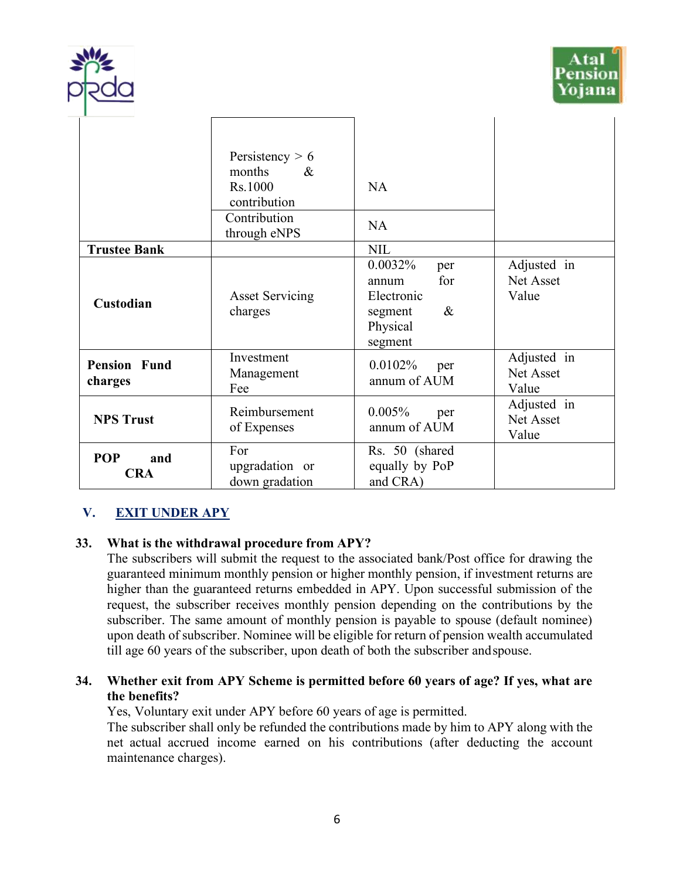



|                                 | Persistency $> 6$<br>months<br>$\&$<br>Rs.1000<br>contribution<br>Contribution<br>through eNPS | NA<br><b>NA</b>                                                                        |                                   |
|---------------------------------|------------------------------------------------------------------------------------------------|----------------------------------------------------------------------------------------|-----------------------------------|
| <b>Trustee Bank</b>             |                                                                                                | <b>NIL</b>                                                                             |                                   |
| Custodian                       | <b>Asset Servicing</b><br>charges                                                              | 0.0032%<br>per<br>for<br>annum<br>Electronic<br>$\&$<br>segment<br>Physical<br>segment | Adjusted in<br>Net Asset<br>Value |
| <b>Pension Fund</b><br>charges  | Investment<br>Management<br>Fee                                                                | $0.0102\%$<br>per<br>annum of AUM                                                      | Adjusted in<br>Net Asset<br>Value |
| <b>NPS Trust</b>                | Reimbursement<br>of Expenses                                                                   | 0.005%<br>per<br>annum of AUM                                                          | Adjusted in<br>Net Asset<br>Value |
| <b>POP</b><br>and<br><b>CRA</b> | For<br>upgradation or<br>down gradation                                                        | Rs. 50 (shared<br>equally by PoP<br>and CRA)                                           |                                   |

## **V. EXIT UNDER APY**

## **33. What is the withdrawal procedure from APY?**

The subscribers will submit the request to the associated bank/Post office for drawing the guaranteed minimum monthly pension or higher monthly pension, if investment returns are higher than the guaranteed returns embedded in APY. Upon successful submission of the request, the subscriber receives monthly pension depending on the contributions by the subscriber. The same amount of monthly pension is payable to spouse (default nominee) upon death of subscriber. Nominee will be eligible for return of pension wealth accumulated till age 60 years of the subscriber, upon death of both the subscriber andspouse.

## **34. Whether exit from APY Scheme is permitted before 60 years of age? If yes, what are the benefits?**

Yes, Voluntary exit under APY before 60 years of age is permitted.

The subscriber shall only be refunded the contributions made by him to APY along with the net actual accrued income earned on his contributions (after deducting the account maintenance charges).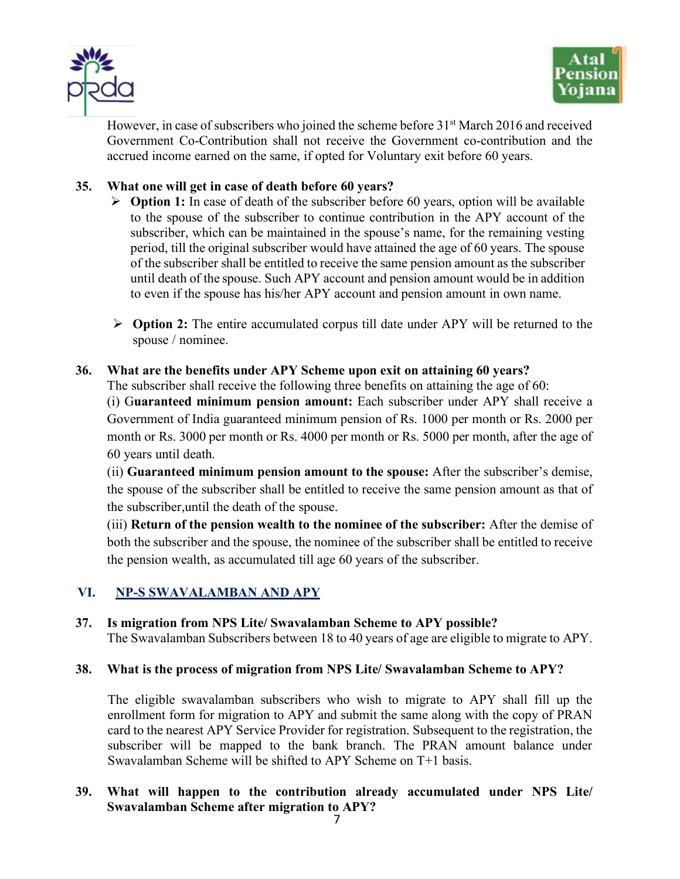



However, in case of subscribers who joined the scheme before 31<sup>st</sup> March 2016 and received Government Co-Contribution shall not receive the Government co-contribution and the accrued income earned on the same, if opted for Voluntary exit before 60 years.

## **35. What one will get in case of death before 60 years?**

- Ø **Option 1:** In case of death of the subscriber before 60 years, option will be available to the spouse of the subscriber to continue contribution in the APY account of the subscriber, which can be maintained in the spouse's name, for the remaining vesting period, till the original subscriber would have attained the age of 60 years. The spouse of the subscriber shall be entitled to receive the same pension amount as the subscriber until death of the spouse. Such APY account and pension amount would be in addition to even if the spouse has his/her APY account and pension amount in own name.
- Ø **Option 2:** The entire accumulated corpus till date under APY will be returned to the spouse / nominee.

## **36. What are the benefits under APY Scheme upon exit on attaining 60 years?**

The subscriber shall receive the following three benefits on attaining the age of 60:

(i) G**uaranteed minimum pension amount:** Each subscriber under APY shall receive a Government of India guaranteed minimum pension of Rs. 1000 per month or Rs. 2000 per month or Rs. 3000 per month or Rs. 4000 per month or Rs. 5000 per month, after the age of 60 years until death.

(ii) **Guaranteed minimum pension amount to the spouse:** After the subscriber's demise, the spouse of the subscriber shall be entitled to receive the same pension amount as that of the subscriber,until the death of the spouse.

(iii) **Return of the pension wealth to the nominee of the subscriber:** After the demise of both the subscriber and the spouse, the nominee of the subscriber shall be entitled to receive the pension wealth, as accumulated till age 60 years of the subscriber.

## **VI. NP-S SWAVALAMBAN AND APY**

## **37. Is migration from NPS Lite/ Swavalamban Scheme to APY possible?**

The Swavalamban Subscribers between 18 to 40 years of age are eligible to migrate to APY.

## **38. What is the process of migration from NPS Lite/ Swavalamban Scheme to APY?**

The eligible swavalamban subscribers who wish to migrate to APY shall fill up the enrollment form for migration to APY and submit the same along with the copy of PRAN card to the nearest APY Service Provider for registration. Subsequent to the registration, the subscriber will be mapped to the bank branch. The PRAN amount balance under Swavalamban Scheme will be shifted to APY Scheme on T+1 basis.

## **39. What will happen to the contribution already accumulated under NPS Lite/ Swavalamban Scheme after migration to APY?**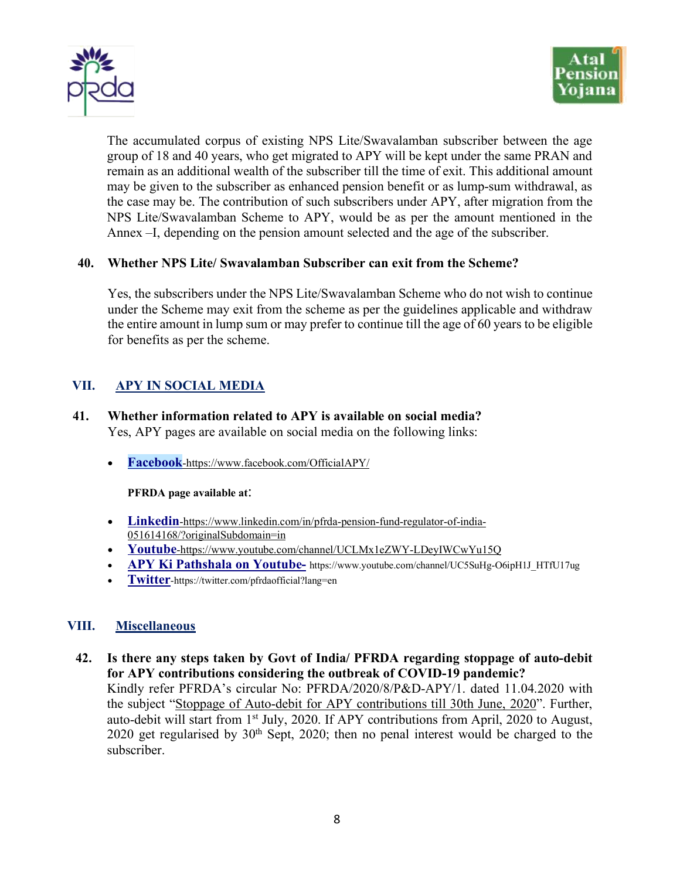



The accumulated corpus of existing NPS Lite/Swavalamban subscriber between the age group of 18 and 40 years, who get migrated to APY will be kept under the same PRAN and remain as an additional wealth of the subscriber till the time of exit. This additional amount may be given to the subscriber as enhanced pension benefit or as lump-sum withdrawal, as the case may be. The contribution of such subscribers under APY, after migration from the NPS Lite/Swavalamban Scheme to APY, would be as per the amount mentioned in the Annex –I, depending on the pension amount selected and the age of the subscriber.

#### **40. Whether NPS Lite/ Swavalamban Subscriber can exit from the Scheme?**

Yes, the subscribers under the NPS Lite/Swavalamban Scheme who do not wish to continue under the Scheme may exit from the scheme as per the guidelines applicable and withdraw the entire amount in lump sum or may prefer to continue till the age of 60 years to be eligible for benefits as per the scheme.

## **VII. APY IN SOCIAL MEDIA**

- **41. Whether information related to APY is available on social media?** Yes, APY pages are available on social media on the following links:
	- **Facebook**-https://www.facebook.com/OfficialAPY/

#### **PFRDA page available at**:

- **Linkedin**-https://www.linkedin.com/in/pfrda-pension-fund-regulator-of-india-051614168/?originalSubdomain=in
- **Youtube**-https://www.youtube.com/channel/UCLMx1eZWY-LDeyIWCwYu15Q
- **APY Ki Pathshala on Youtube-** https://www.youtube.com/channel/UC5SuHg-O6ipH1J\_HTfU17ug
- **Twitter**-https://twitter.com/pfrdaofficial?lang=en

## **VIII. Miscellaneous**

**42. Is there any steps taken by Govt of India/ PFRDA regarding stoppage of auto-debit for APY contributions considering the outbreak of COVID-19 pandemic?** Kindly refer PFRDA's circular No: PFRDA/2020/8/P&D-APY/1. dated 11.04.2020 with the subject "Stoppage of Auto-debit for APY contributions till 30th June, 2020". Further, auto-debit will start from 1st July, 2020. If APY contributions from April, 2020 to August, 2020 get regularised by  $30<sup>th</sup>$  Sept, 2020; then no penal interest would be charged to the subscriber.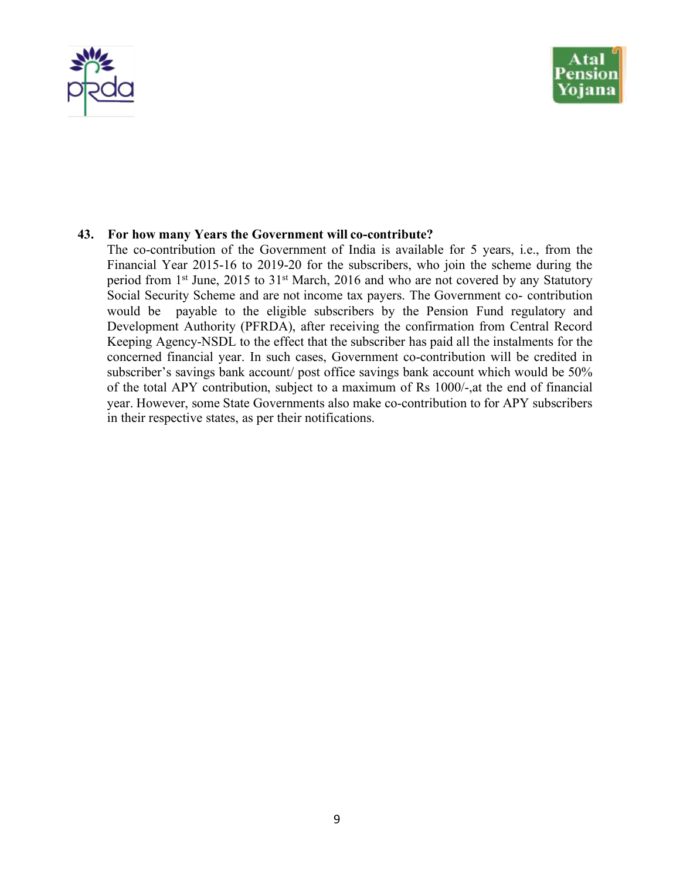



#### **43. For how many Years the Government will co-contribute?**

The co-contribution of the Government of India is available for 5 years, i.e., from the Financial Year 2015-16 to 2019-20 for the subscribers, who join the scheme during the period from 1<sup>st</sup> June, 2015 to 31<sup>st</sup> March, 2016 and who are not covered by any Statutory Social Security Scheme and are not income tax payers. The Government co- contribution would be payable to the eligible subscribers by the Pension Fund regulatory and Development Authority (PFRDA), after receiving the confirmation from Central Record Keeping Agency-NSDL to the effect that the subscriber has paid all the instalments for the concerned financial year. In such cases, Government co-contribution will be credited in subscriber's savings bank account/ post office savings bank account which would be 50% of the total APY contribution, subject to a maximum of Rs 1000/-,at the end of financial year. However, some State Governments also make co-contribution to for APY subscribers in their respective states, as per their notifications.